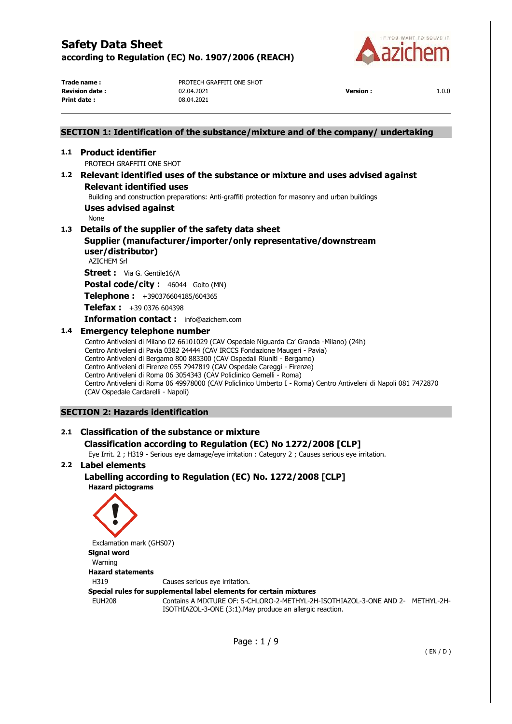

**Print date :** 08.04.2021

**Trade name :** PROTECH GRAFFITI ONE SHOT **Revision date :** 02.04.2021 **Version :** 1.0.0

# Page : 1 / 9 ( EN / D ) **SECTION 1: Identification of the substance/mixture and of the company/ undertaking 1.1 Product identifier**  PROTECH GRAFFITI ONE SHOT **1.2 Relevant identified uses of the substance or mixture and uses advised against Relevant identified uses**  Building and construction preparations: Anti-graffiti protection for masonry and urban buildings **Uses advised against**  None **1.3 Details of the supplier of the safety data sheet Supplier (manufacturer/importer/only representative/downstream user/distributor)**  AZICHEM Srl **Street :** Via G. Gentile16/A Postal code/city : 46044 Goito (MN) **Telephone :** +390376604185/604365 **Telefax :** +39 0376 604398 **Information contact :** info@azichem.com **1.4 Emergency telephone number**  Centro Antiveleni di Milano 02 66101029 (CAV Ospedale Niguarda Ca' Granda -Milano) (24h) Centro Antiveleni di Pavia 0382 24444 (CAV IRCCS Fondazione Maugeri - Pavia) Centro Antiveleni di Bergamo 800 883300 (CAV Ospedali Riuniti - Bergamo) Centro Antiveleni di Firenze 055 7947819 (CAV Ospedale Careggi - Firenze) Centro Antiveleni di Roma 06 3054343 (CAV Policlinico Gemelli - Roma) Centro Antiveleni di Roma 06 49978000 (CAV Policlinico Umberto I - Roma) Centro Antiveleni di Napoli 081 7472870 (CAV Ospedale Cardarelli - Napoli) **SECTION 2: Hazards identification 2.1 Classification of the substance or mixture Classification according to Regulation (EC) No 1272/2008 [CLP]**  Eye Irrit. 2 ; H319 - Serious eye damage/eye irritation : Category 2 ; Causes serious eye irritation. **2.2 Label elements Labelling according to Regulation (EC) No. 1272/2008 [CLP] Hazard pictograms**  Exclamation mark (GHS07) **Signal word**  Warning **Hazard statements**  H319 Causes serious eye irritation. **Special rules for supplemental label elements for certain mixtures**  EUH208 Contains A MIXTURE OF: 5-CHLORO-2-METHYL-2H-ISOTHIAZOL-3-ONE AND 2- METHYL-2H-ISOTHIAZOL-3-ONE (3:1).May produce an allergic reaction.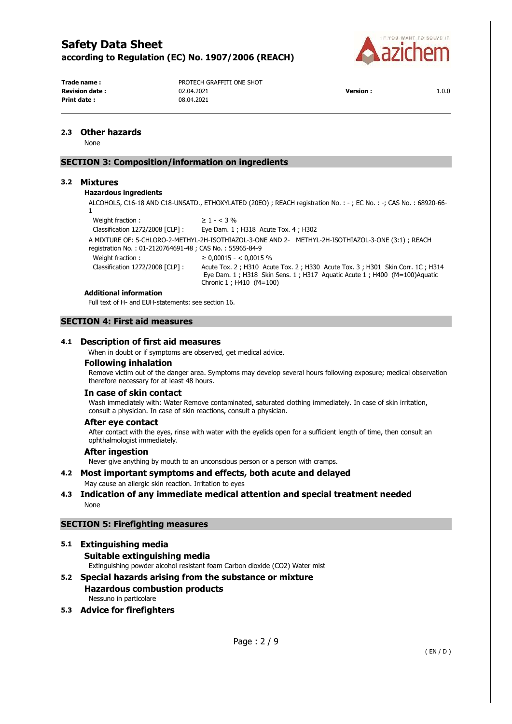

**Print date :** 08.04.2021

**Trade name :** PROTECH GRAFFITI ONE SHOT **Revision date :** 02.04.2021 **Version :** 1.0.0

### **2.3 Other hazards**

None

# **SECTION 3: Composition/information on ingredients**

## **3.2 Mixtures**

## **Hazardous ingredients**

ALCOHOLS, C16-18 AND C18-UNSATD., ETHOXYLATED (20EO) ; REACH registration No. : - ; EC No. : -; CAS No. : 68920-66- 1

Weight fraction :  $\geq 1 - 3\%$ Classification 1272/2008 [CLP] : Eye Dam. 1 ; H318 Acute Tox. 4 ; H302 A MIXTURE OF: 5-CHLORO-2-METHYL-2H-ISOTHIAZOL-3-ONE AND 2- METHYL-2H-ISOTHIAZOL-3-ONE (3:1) ; REACH registration No. : 01-2120764691-48 ; CAS No. : 55965-84-9 Weight fraction :  $\geq 0.00015 - < 0.0015$  % Classification 1272/2008 [CLP] : Acute Tox. 2 ; H310 Acute Tox. 2 ; H330 Acute Tox. 3 ; H301 Skin Corr. 1C ; H314 Eye Dam. 1 ; H318 Skin Sens. 1 ; H317 Aquatic Acute 1 ; H400 (M=100)Aquatic Chronic 1 ; H410 (M=100)

#### **Additional information**

Full text of H- and EUH-statements: see section 16.

### **SECTION 4: First aid measures**

#### **4.1 Description of first aid measures**

When in doubt or if symptoms are observed, get medical advice.

#### **Following inhalation**

Remove victim out of the danger area. Symptoms may develop several hours following exposure; medical observation therefore necessary for at least 48 hours.

#### **In case of skin contact**

Wash immediately with: Water Remove contaminated, saturated clothing immediately. In case of skin irritation, consult a physician. In case of skin reactions, consult a physician.

#### **After eye contact**

After contact with the eyes, rinse with water with the eyelids open for a sufficient length of time, then consult an ophthalmologist immediately.

#### **After ingestion**

Never give anything by mouth to an unconscious person or a person with cramps.

### **4.2 Most important symptoms and effects, both acute and delayed**  May cause an allergic skin reaction. Irritation to eyes

# **4.3 Indication of any immediate medical attention and special treatment needed**  None

### **SECTION 5: Firefighting measures**

#### **5.1 Extinguishing media**

**Suitable extinguishing media** 

Extinguishing powder alcohol resistant foam Carbon dioxide (CO2) Water mist

## **5.2 Special hazards arising from the substance or mixture Hazardous combustion products**  Nessuno in particolare

# **5.3 Advice for firefighters**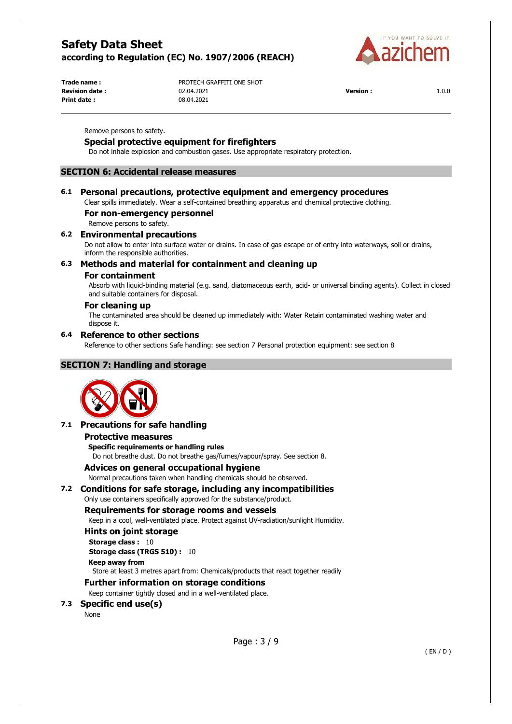

**Print date :** 08.04.2021

**Trade name :** PROTECH GRAFFITI ONE SHOT **Revision date :** 02.04.2021 **Version :** 1.0.0

Remove persons to safety.

# **Special protective equipment for firefighters**

Do not inhale explosion and combustion gases. Use appropriate respiratory protection.

### **SECTION 6: Accidental release measures**

### **6.1 Personal precautions, protective equipment and emergency procedures**

Clear spills immediately. Wear a self-contained breathing apparatus and chemical protective clothing.

#### **For non-emergency personnel**

Remove persons to safety.

#### **6.2 Environmental precautions**

Do not allow to enter into surface water or drains. In case of gas escape or of entry into waterways, soil or drains, inform the responsible authorities.

### **6.3 Methods and material for containment and cleaning up**

### **For containment**

Absorb with liquid-binding material (e.g. sand, diatomaceous earth, acid- or universal binding agents). Collect in closed and suitable containers for disposal.

### **For cleaning up**

The contaminated area should be cleaned up immediately with: Water Retain contaminated washing water and dispose it.

#### **6.4 Reference to other sections**

Reference to other sections Safe handling: see section 7 Personal protection equipment: see section 8

# **SECTION 7: Handling and storage**



#### **7.1 Precautions for safe handling**

#### **Protective measures**

**Specific requirements or handling rules** 

Do not breathe dust. Do not breathe gas/fumes/vapour/spray. See section 8.

### **Advices on general occupational hygiene**

Normal precautions taken when handling chemicals should be observed.

#### **7.2 Conditions for safe storage, including any incompatibilities**

Only use containers specifically approved for the substance/product.

#### **Requirements for storage rooms and vessels**

Keep in a cool, well-ventilated place. Protect against UV-radiation/sunlight Humidity.

### **Hints on joint storage**

**Storage class : 10** 

**Storage class (TRGS 510) :** 10

**Keep away from** 

Store at least 3 metres apart from: Chemicals/products that react together readily

#### **Further information on storage conditions**

Keep container tightly closed and in a well-ventilated place.

# **7.3 Specific end use(s)**

None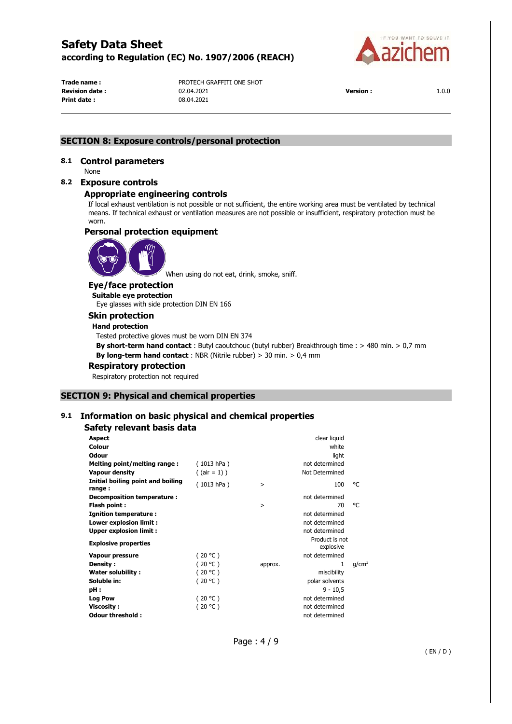

**Print date :** 08.04.2021

**Trade name :** PROTECH GRAFFITI ONE SHOT **Revision date :** 02.04.2021 **Version :** 1.0.0

# **SECTION 8: Exposure controls/personal protection**

# **8.1 Control parameters**

None

### **8.2 Exposure controls**

### **Appropriate engineering controls**

If local exhaust ventilation is not possible or not sufficient, the entire working area must be ventilated by technical means. If technical exhaust or ventilation measures are not possible or insufficient, respiratory protection must be worn.

### **Personal protection equipment**



When using do not eat, drink, smoke, sniff.

#### **Eye/face protection**

**Suitable eye protection**  Eye glasses with side protection DIN EN 166

### **Skin protection**

**Hand protection** 

Tested protective gloves must be worn DIN EN 374

**By short-term hand contact** : Butyl caoutchouc (butyl rubber) Breakthrough time : > 480 min. > 0,7 mm **By long-term hand contact** : NBR (Nitrile rubber) > 30 min. > 0,4 mm

## **Respiratory protection**

Respiratory protection not required

#### **SECTION 9: Physical and chemical properties**

# **9.1 Information on basic physical and chemical properties**

# **Safety relevant basis data**

| <b>Aspect</b>                               |                 |          | clear liquid                |          |
|---------------------------------------------|-----------------|----------|-----------------------------|----------|
| Colour                                      |                 |          | white                       |          |
| Odour                                       |                 |          | light                       |          |
| Melting point/melting range:                | (1013 hPa)      |          | not determined              |          |
| <b>Vapour density</b>                       | $($ (air = 1) ) |          | Not Determined              |          |
| Initial boiling point and boiling<br>range: | (1013 hPa)      | $\,>$    | 100                         | °C       |
| Decomposition temperature :                 |                 |          | not determined              |          |
| Flash point:                                |                 | $\rm{~}$ | 70                          | °C       |
| <b>Ignition temperature:</b>                |                 |          | not determined              |          |
| Lower explosion limit :                     |                 |          | not determined              |          |
| <b>Upper explosion limit:</b>               |                 |          | not determined              |          |
| <b>Explosive properties</b>                 |                 |          | Product is not<br>explosive |          |
| <b>Vapour pressure</b>                      | (20 °C)         |          | not determined              |          |
| Density:                                    | (20 °C)         | approx.  | 1                           | $q/cm^3$ |
| Water solubility:                           | (20 °C)         |          | miscibility                 |          |
| Soluble in:                                 | (20 °C)         |          | polar solvents              |          |
| pH:                                         |                 |          | $9 - 10,5$                  |          |
| <b>Log Pow</b>                              | (20 °C)         |          | not determined              |          |
| <b>Viscosity:</b>                           | (20 °C)         |          | not determined              |          |
| Odour threshold :                           |                 |          | not determined              |          |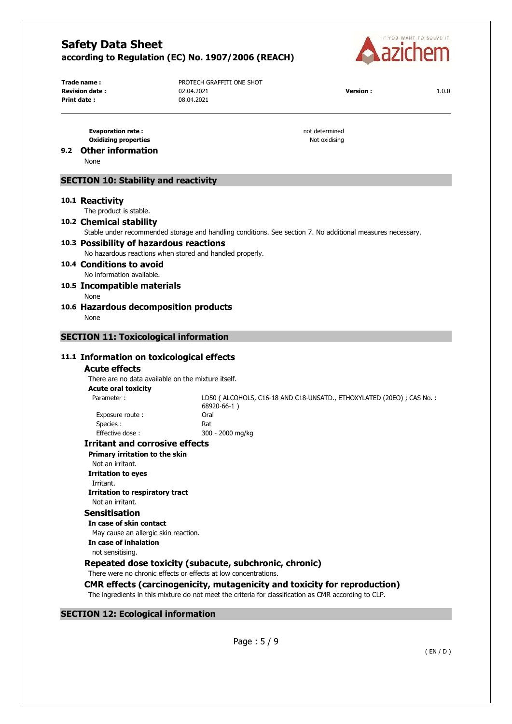

**Print date :** 08.04.2021

**Trade name :** PROTECH GRAFFITI ONE SHOT **Revision date :** 02.04.2021 **Version :** 1.0.0

**Evaporation rate : not determined not determined Oxidizing properties** Not oxidising

# **9.2 Other information**

None

## **SECTION 10: Stability and reactivity**

# **10.1 Reactivity**

The product is stable.

#### **10.2 Chemical stability**

Stable under recommended storage and handling conditions. See section 7. No additional measures necessary.

# **10.3 Possibility of hazardous reactions**

No hazardous reactions when stored and handled properly.

#### **10.4 Conditions to avoid**  No information available.

# **10.5 Incompatible materials**

- None
- **10.6 Hazardous decomposition products**  None

## **SECTION 11: Toxicological information**

### **11.1 Information on toxicological effects**

#### **Acute effects**

There are no data available on the mixture itself. **Acute oral toxicity** 

Parameter : LD50 ( ALCOHOLS, C16-18 AND C18-UNSATD., ETHOXYLATED (20EO) ; CAS No. : 68920-66-1 ) Exposure route : Oral Species : Rat Effective dose : 300 - 2000 mg/kg

#### **Irritant and corrosive effects**

**Primary irritation to the skin** 

Not an irritant. **Irritation to eyes** 

# Irritant. **Irritation to respiratory tract**

Not an irritant.

# **Sensitisation**

**In case of skin contact**  May cause an allergic skin reaction. **In case of inhalation**  not sensitising.

# **Repeated dose toxicity (subacute, subchronic, chronic)**

There were no chronic effects or effects at low concentrations.

# **CMR effects (carcinogenicity, mutagenicity and toxicity for reproduction)**

The ingredients in this mixture do not meet the criteria for classification as CMR according to CLP.

# **SECTION 12: Ecological information**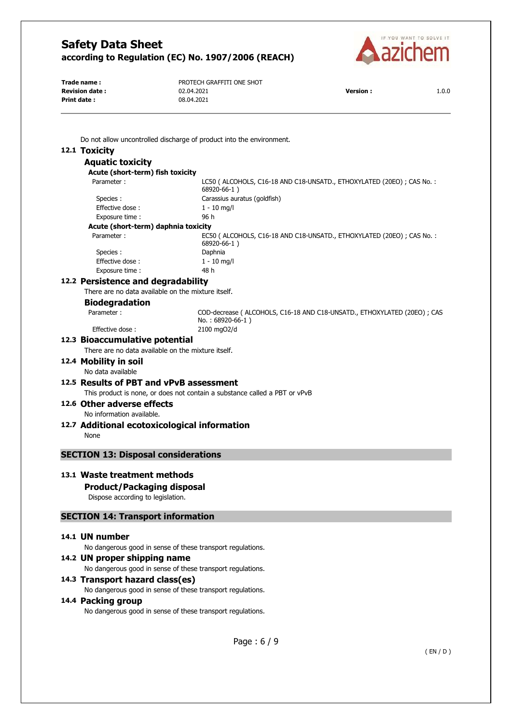

**Print date :** 

**Trade name :** PROTECH GRAFFITI ONE SHOT **Revision date :**  $02.04.2021$  **Version :**  $1.0.0$  **Print date :**  $08.04.2021$ 

Do not allow uncontrolled discharge of product into the environment.

# **12.1 Toxicity**

| <b>Aquatic toxicity</b>                                                                                                                            |                                                                                                |
|----------------------------------------------------------------------------------------------------------------------------------------------------|------------------------------------------------------------------------------------------------|
| Acute (short-term) fish toxicity                                                                                                                   |                                                                                                |
| Parameter:                                                                                                                                         | LC50 (ALCOHOLS, C16-18 AND C18-UNSATD., ETHOXYLATED (20EO) ; CAS No. :<br>68920-66-1)          |
| Species:                                                                                                                                           | Carassius auratus (goldfish)                                                                   |
| Effective dose:                                                                                                                                    | $1 - 10$ mg/l                                                                                  |
| Exposure time:                                                                                                                                     | 96 h                                                                                           |
| Acute (short-term) daphnia toxicity                                                                                                                |                                                                                                |
| Parameter:                                                                                                                                         | EC50 ( ALCOHOLS, C16-18 AND C18-UNSATD., ETHOXYLATED (20EO) ; CAS No. :<br>68920-66-1)         |
| Species:                                                                                                                                           | Daphnia                                                                                        |
| Effective dose:                                                                                                                                    | $1 - 10$ mg/l                                                                                  |
| Exposure time :                                                                                                                                    | 48 h                                                                                           |
| 12.2 Persistence and degradability                                                                                                                 |                                                                                                |
| There are no data available on the mixture itself.                                                                                                 |                                                                                                |
| <b>Biodegradation</b>                                                                                                                              |                                                                                                |
| Parameter:                                                                                                                                         | COD-decrease (ALCOHOLS, C16-18 AND C18-UNSATD., ETHOXYLATED (20EO) ; CAS<br>$No.: 68920-66-1)$ |
| Effective dose:                                                                                                                                    | 2100 mgO2/d                                                                                    |
| 12.3 Bioaccumulative potential                                                                                                                     |                                                                                                |
| There are no data available on the mixture itself.                                                                                                 |                                                                                                |
| 12.4 Mobility in soil                                                                                                                              |                                                                                                |
| No data available                                                                                                                                  |                                                                                                |
| 12.5 Results of PBT and vPvB assessment                                                                                                            |                                                                                                |
|                                                                                                                                                    |                                                                                                |
|                                                                                                                                                    | This product is none, or does not contain a substance called a PBT or vPvB                     |
| 12.6 Other adverse effects                                                                                                                         |                                                                                                |
| No information available.                                                                                                                          |                                                                                                |
| 12.7 Additional ecotoxicological information<br>None                                                                                               |                                                                                                |
|                                                                                                                                                    |                                                                                                |
| <b>SECTION 13: Disposal considerations</b>                                                                                                         |                                                                                                |
| 13.1 Waste treatment methods<br><b>Product/Packaging disposal</b><br>Dispose according to legislation.<br><b>SECTION 14: Transport information</b> |                                                                                                |
|                                                                                                                                                    |                                                                                                |
| 14.1 UN number                                                                                                                                     |                                                                                                |
| No dangerous good in sense of these transport regulations.                                                                                         |                                                                                                |
| 14.2 UN proper shipping name                                                                                                                       |                                                                                                |
| No dangerous good in sense of these transport regulations.                                                                                         |                                                                                                |
| 14.3 Transport hazard class(es)                                                                                                                    |                                                                                                |
| No dangerous good in sense of these transport regulations.                                                                                         |                                                                                                |
| 14.4 Packing group                                                                                                                                 |                                                                                                |
| No dangerous good in sense of these transport regulations.                                                                                         |                                                                                                |
|                                                                                                                                                    |                                                                                                |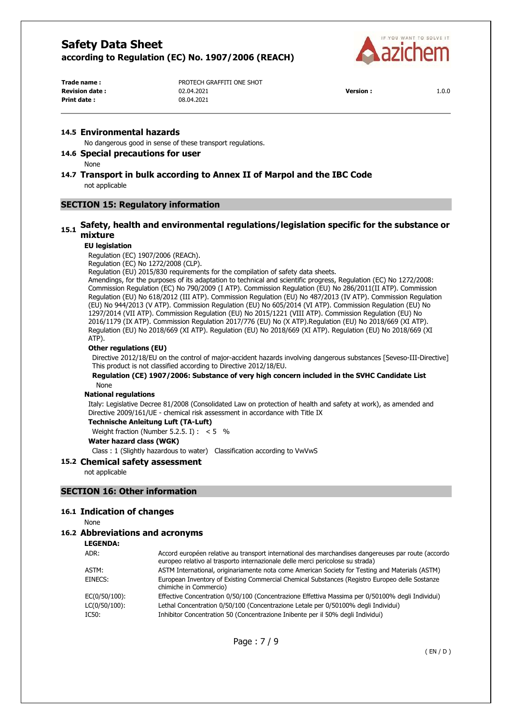

**Print date :** 08.04.2021

**Trade name :** PROTECH GRAFFITI ONE SHOT **Revision date :** 02.04.2021 **Version :** 1.0.0

### **14.5 Environmental hazards**

No dangerous good in sense of these transport regulations.

## **14.6 Special precautions for user**

None

# **14.7 Transport in bulk according to Annex II of Marpol and the IBC Code**  not applicable

# **SECTION 15: Regulatory information**

# **15.1 Safety, health and environmental regulations/legislation specific for the substance or mixture**

#### **EU legislation**

Regulation (EC) 1907/2006 (REACh).

Regulation (EC) No 1272/2008 (CLP).

Regulation (EU) 2015/830 requirements for the compilation of safety data sheets.

Amendings, for the purposes of its adaptation to technical and scientific progress, Regulation (EC) No 1272/2008: Commission Regulation (EC) No 790/2009 (I ATP). Commission Regulation (EU) No 286/2011(II ATP). Commission Regulation (EU) No 618/2012 (III ATP). Commission Regulation (EU) No 487/2013 (IV ATP). Commission Regulation (EU) No 944/2013 (V ATP). Commission Regulation (EU) No 605/2014 (VI ATP). Commission Regulation (EU) No 1297/2014 (VII ATP). Commission Regulation (EU) No 2015/1221 (VIII ATP). Commission Regulation (EU) No 2016/1179 (IX ATP). Commission Regulation 2017/776 (EU) No (X ATP).Regulation (EU) No 2018/669 (XI ATP). Regulation (EU) No 2018/669 (XI ATP). Regulation (EU) No 2018/669 (XI ATP). Regulation (EU) No 2018/669 (XI ATP).

#### **Other regulations (EU)**

Directive 2012/18/EU on the control of major-accident hazards involving dangerous substances [Seveso-III-Directive] This product is not classified according to Directive 2012/18/EU.

#### **Regulation (CE) 1907/2006: Substance of very high concern included in the SVHC Candidate List**  None

#### **National regulations**

Italy: Legislative Decree 81/2008 (Consolidated Law on protection of health and safety at work), as amended and Directive 2009/161/UE - chemical risk assessment in accordance with Title IX

**Technische Anleitung Luft (TA-Luft)** 

Weight fraction (Number 5.2.5. I) :  $< 5$  %

```
Water hazard class (WGK)
```
Class : 1 (Slightly hazardous to water) Classification according to VwVwS

### **15.2 Chemical safety assessment**

not applicable

#### **SECTION 16: Other information**

# **16.1 Indication of changes**

None

# **16.2 Abbreviations and acronyms**

**LEGENDA:**

| ADR:<br>Accord européen relative au transport international des marchandises dangereuses par route (accordo<br>europeo relativo al trasporto internazionale delle merci pericolose su strada) |  |
|-----------------------------------------------------------------------------------------------------------------------------------------------------------------------------------------------|--|
| ASTM International, originariamente nota come American Society for Testing and Materials (ASTM)<br>ASTM:                                                                                      |  |
| European Inventory of Existing Commercial Chemical Substances (Registro Europeo delle Sostanze<br>EINECS:<br>chimiche in Commercio)                                                           |  |
| EC(0/50/100):<br>Effective Concentration 0/50/100 (Concentrazione Effettiva Massima per 0/50100% degli Individui)                                                                             |  |
| Lethal Concentration 0/50/100 (Concentrazione Letale per 0/50100% degli Individui)<br>LC(0/50/100):                                                                                           |  |
| Inhibitor Concentration 50 (Concentrazione Inibente per il 50% degli Individui)<br>IC50:                                                                                                      |  |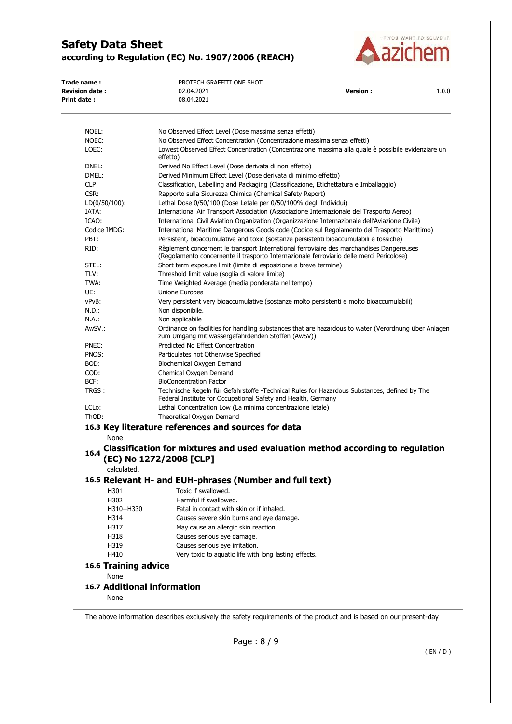

| Trade name :           | PROTECH GRAFFITI ONE SHOT |                 |       |
|------------------------|---------------------------|-----------------|-------|
| <b>Revision date :</b> | 02.04.2021                | <b>Version:</b> | 1.0.0 |
| Print date :           | 08.04.2021                |                 |       |
|                        |                           |                 |       |

| NOEL:                       | No Observed Effect Level (Dose massima senza effetti)                                                                                                                                |
|-----------------------------|--------------------------------------------------------------------------------------------------------------------------------------------------------------------------------------|
| NOEC:                       | No Observed Effect Concentration (Concentrazione massima senza effetti)                                                                                                              |
| LOEC:                       | Lowest Observed Effect Concentration (Concentrazione massima alla quale è possibile evidenziare un<br>effetto)                                                                       |
| DNEL:                       | Derived No Effect Level (Dose derivata di non effetto)                                                                                                                               |
| DMEL:                       | Derived Minimum Effect Level (Dose derivata di minimo effetto)                                                                                                                       |
| CLP:                        | Classification, Labelling and Packaging (Classificazione, Etichettatura e Imballaggio)                                                                                               |
| CSR:                        | Rapporto sulla Sicurezza Chimica (Chemical Safety Report)                                                                                                                            |
| $LD(0/50/100)$ :            | Lethal Dose 0/50/100 (Dose Letale per 0/50/100% degli Individui)                                                                                                                     |
| IATA:                       | International Air Transport Association (Associazione Internazionale del Trasporto Aereo)                                                                                            |
| ICAO:                       | International Civil Aviation Organization (Organizzazione Internazionale dell'Aviazione Civile)                                                                                      |
| Codice IMDG:                | International Maritime Dangerous Goods code (Codice sul Regolamento del Trasporto Marittimo)                                                                                         |
| PBT:                        | Persistent, bioaccumulative and toxic (sostanze persistenti bioaccumulabili e tossiche)                                                                                              |
| RID:                        | Règlement concernent le transport International ferroviaire des marchandises Dangereuses<br>(Regolamento concernente il trasporto Internazionale ferroviario delle merci Pericolose) |
| STEL:                       | Short term exposure limit (limite di esposizione a breve termine)                                                                                                                    |
| TLV:                        | Threshold limit value (soglia di valore limite)                                                                                                                                      |
| TWA:                        | Time Weighted Average (media ponderata nel tempo)                                                                                                                                    |
| UE:                         | Unione Europea                                                                                                                                                                       |
| vPvB:                       | Very persistent very bioaccumulative (sostanze molto persistenti e molto bioaccumulabili)                                                                                            |
| N.D.:                       | Non disponibile.                                                                                                                                                                     |
| N.A.:                       | Non applicabile                                                                                                                                                                      |
| AwSV.:                      | Ordinance on facilities for handling substances that are hazardous to water (Verordnung über Anlagen<br>zum Umgang mit wassergefährdenden Stoffen (AwSV))                            |
| PNEC:                       | Predicted No Effect Concentration                                                                                                                                                    |
| PNOS:                       | Particulates not Otherwise Specified                                                                                                                                                 |
| BOD:                        | Biochemical Oxygen Demand                                                                                                                                                            |
| COD:                        | Chemical Oxygen Demand                                                                                                                                                               |
| BCF:                        | <b>BioConcentration Factor</b>                                                                                                                                                       |
| TRGS :                      | Technische Regeln für Gefahrstoffe -Technical Rules for Hazardous Substances, defined by The<br>Federal Institute for Occupational Safety and Health, Germany                        |
| LCL <sub>o</sub> :          | Lethal Concentration Low (La minima concentrazione letale)                                                                                                                           |
| ThOD:                       | Theoretical Oxygen Demand                                                                                                                                                            |
|                             | 16.3 Key literature references and sources for data                                                                                                                                  |
| None<br>16.4                | Classification for mixtures and used evaluation method according to regulation                                                                                                       |
|                             | (EC) No 1272/2008 [CLP]                                                                                                                                                              |
| calculated.                 |                                                                                                                                                                                      |
|                             | 16.5 Relevant H- and EUH-phrases (Number and full text)                                                                                                                              |
| H301                        | Toxic if swallowed.                                                                                                                                                                  |
| H302                        | Harmful if swallowed.                                                                                                                                                                |
| H310+H330                   | Fatal in contact with skin or if inhaled                                                                                                                                             |
| H314                        | Causes severe skin burns and eye damage.                                                                                                                                             |
| H317                        | May cause an allergic skin reaction.                                                                                                                                                 |
| H318                        | Causes serious eye damage.                                                                                                                                                           |
| H319                        | Causes serious eye irritation.                                                                                                                                                       |
| H410                        | Very toxic to aquatic life with long lasting effects.                                                                                                                                |
| <b>16.6 Training advice</b> |                                                                                                                                                                                      |
| None                        |                                                                                                                                                                                      |
| 16.7 Additional information |                                                                                                                                                                                      |
|                             |                                                                                                                                                                                      |
| None                        |                                                                                                                                                                                      |

The above information describes exclusively the safety requirements of the product and is based on our present-day